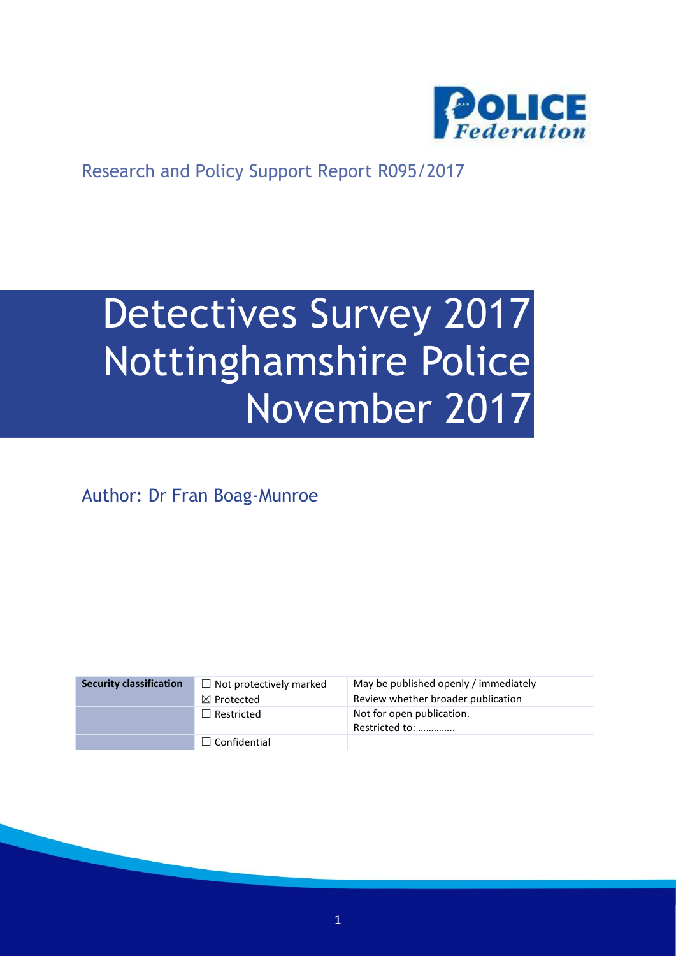

Research and Policy Support Report R095/2017

# Detectives Survey 2017 Nottinghamshire Police November 2017

Author: Dr Fran Boag-Munroe

| <b>Security classification</b> | $\Box$ Not protectively marked | May be published openly / immediately       |
|--------------------------------|--------------------------------|---------------------------------------------|
|                                | $\boxtimes$ Protected          | Review whether broader publication          |
|                                | $\Box$ Restricted              | Not for open publication.<br>Restricted to: |
|                                | $\Box$ Confidential            |                                             |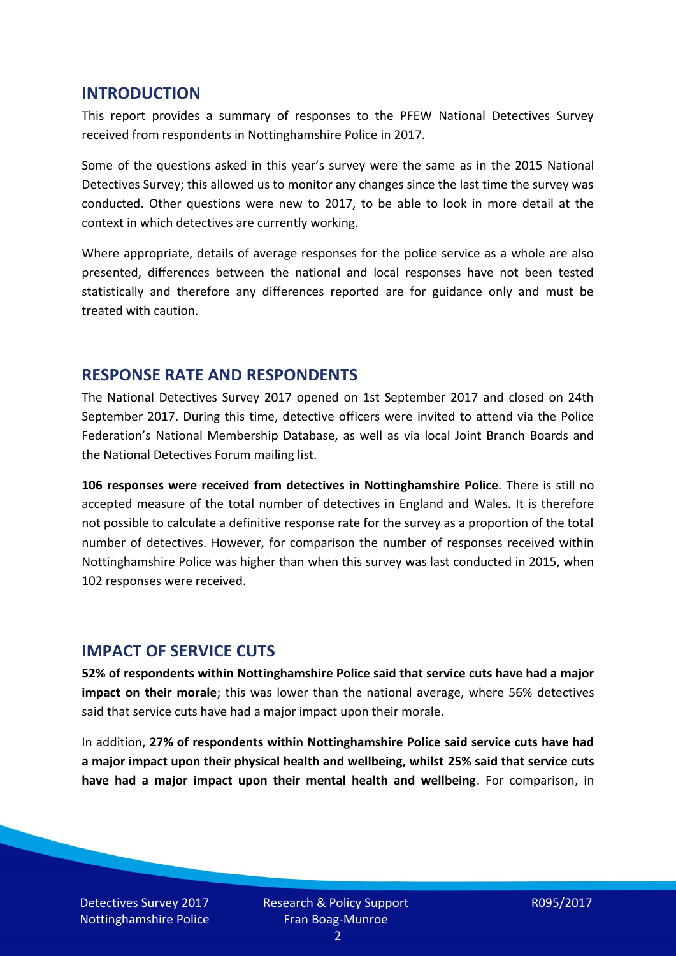#### **INTRODUCTION**

This report provides a summary of responses to the PFEW National Detectives Survey received from respondents in Nottinghamshire Police in 2017.

Some of the questions asked in this year's survey were the same as in the 2015 National Detectives Survey; this allowed us to monitor any changes since the last time the survey was conducted. Other questions were new to 2017, to be able to look in more detail at the context in which detectives are currently working.

Where appropriate, details of average responses for the police service as a whole are also presented, differences between the national and local responses have not been tested statistically and therefore any differences reported are for guidance only and must be treated with caution.

#### **RESPONSE RATE AND RESPONDENTS**

The National Detectives Survey 2017 opened on 1st September 2017 and closed on 24th September 2017. During this time, detective officers were invited to attend via the Police Federation's National Membership Database, as well as via local Joint Branch Boards and the National Detectives Forum mailing list.

**106 responses were received from detectives in Nottinghamshire Police**. There is still no accepted measure of the total number of detectives in England and Wales. It is therefore not possible to calculate a definitive response rate for the survey as a proportion of the total number of detectives. However, for comparison the number of responses received within Nottinghamshire Police was higher than when this survey was last conducted in 2015, when 102 responses were received.

#### **IMPACT OF SERVICE CUTS**

**52% of respondents within Nottinghamshire Police said that service cuts have had a major impact on their morale**; this was lower than the national average, where 56% detectives said that service cuts have had a major impact upon their morale.

In addition, **27% of respondents within Nottinghamshire Police said service cuts have had a major impact upon their physical health and wellbeing, whilst 25% said that service cuts have had a major impact upon their mental health and wellbeing**. For comparison, in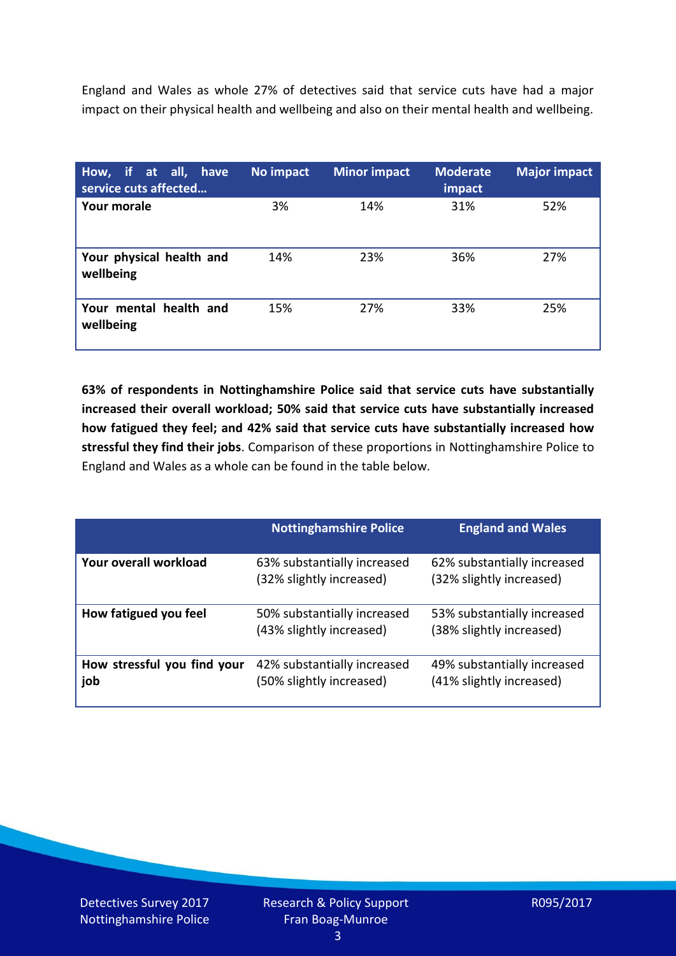England and Wales as whole 27% of detectives said that service cuts have had a major impact on their physical health and wellbeing and also on their mental health and wellbeing.

| How, if at all, have<br>service cuts affected | No impact | <b>Minor impact</b> | <b>Moderate</b><br>impact | <b>Major impact</b> |
|-----------------------------------------------|-----------|---------------------|---------------------------|---------------------|
| <b>Your morale</b>                            | 3%        | 14%                 | 31%                       | 52%                 |
| Your physical health and<br>wellbeing         | 14%       | 23%                 | 36%                       | 27%                 |
| Your mental health and<br>wellbeing           | 15%       | 27%                 | 33%                       | 25%                 |

**63% of respondents in Nottinghamshire Police said that service cuts have substantially increased their overall workload; 50% said that service cuts have substantially increased how fatigued they feel; and 42% said that service cuts have substantially increased how stressful they find their jobs**. Comparison of these proportions in Nottinghamshire Police to England and Wales as a whole can be found in the table below.

|                                    | <b>Nottinghamshire Police</b>                           | <b>England and Wales</b>                                |
|------------------------------------|---------------------------------------------------------|---------------------------------------------------------|
| Your overall workload              | 63% substantially increased<br>(32% slightly increased) | 62% substantially increased<br>(32% slightly increased) |
| How fatigued you feel              | 50% substantially increased<br>(43% slightly increased) | 53% substantially increased<br>(38% slightly increased) |
| How stressful you find your<br>job | 42% substantially increased<br>(50% slightly increased) | 49% substantially increased<br>(41% slightly increased) |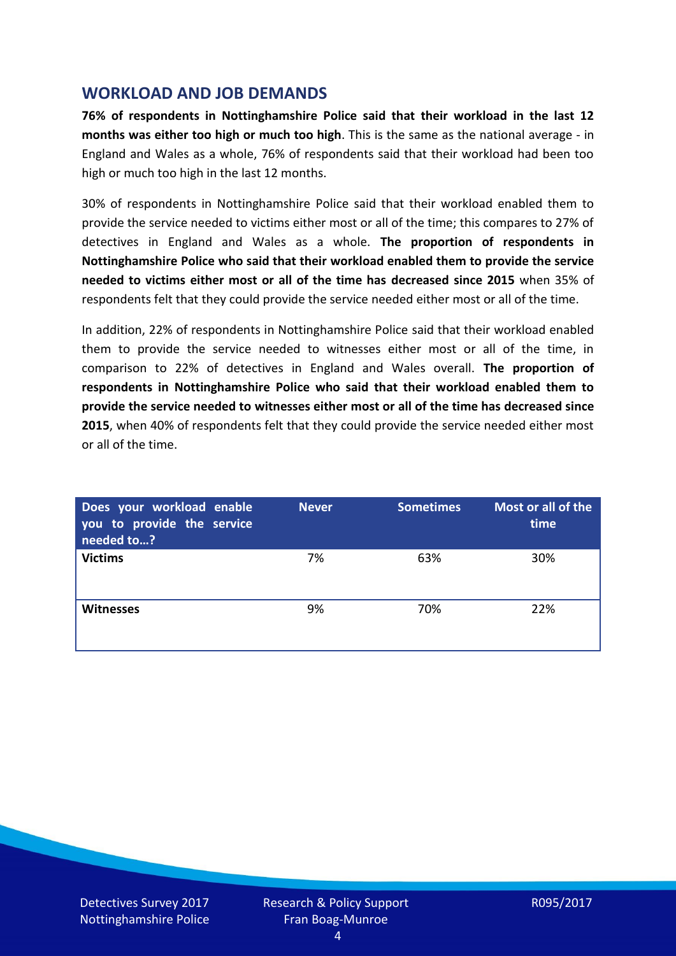## **WORKLOAD AND JOB DEMANDS**

**76% of respondents in Nottinghamshire Police said that their workload in the last 12 months was either too high or much too high**. This is the same as the national average - in England and Wales as a whole, 76% of respondents said that their workload had been too high or much too high in the last 12 months.

30% of respondents in Nottinghamshire Police said that their workload enabled them to provide the service needed to victims either most or all of the time; this compares to 27% of detectives in England and Wales as a whole. **The proportion of respondents in Nottinghamshire Police who said that their workload enabled them to provide the service needed to victims either most or all of the time has decreased since 2015** when 35% of respondents felt that they could provide the service needed either most or all of the time.

In addition, 22% of respondents in Nottinghamshire Police said that their workload enabled them to provide the service needed to witnesses either most or all of the time, in comparison to 22% of detectives in England and Wales overall. **The proportion of respondents in Nottinghamshire Police who said that their workload enabled them to provide the service needed to witnesses either most or all of the time has decreased since 2015**, when 40% of respondents felt that they could provide the service needed either most or all of the time.

| Does your workload enable<br>you to provide the service<br>needed to? | <b>Never</b> | <b>Sometimes</b> | Most or all of the<br>time |
|-----------------------------------------------------------------------|--------------|------------------|----------------------------|
| <b>Victims</b>                                                        | 7%           | 63%              | 30%                        |
| <b>Witnesses</b>                                                      | 9%           | 70%              | 22%                        |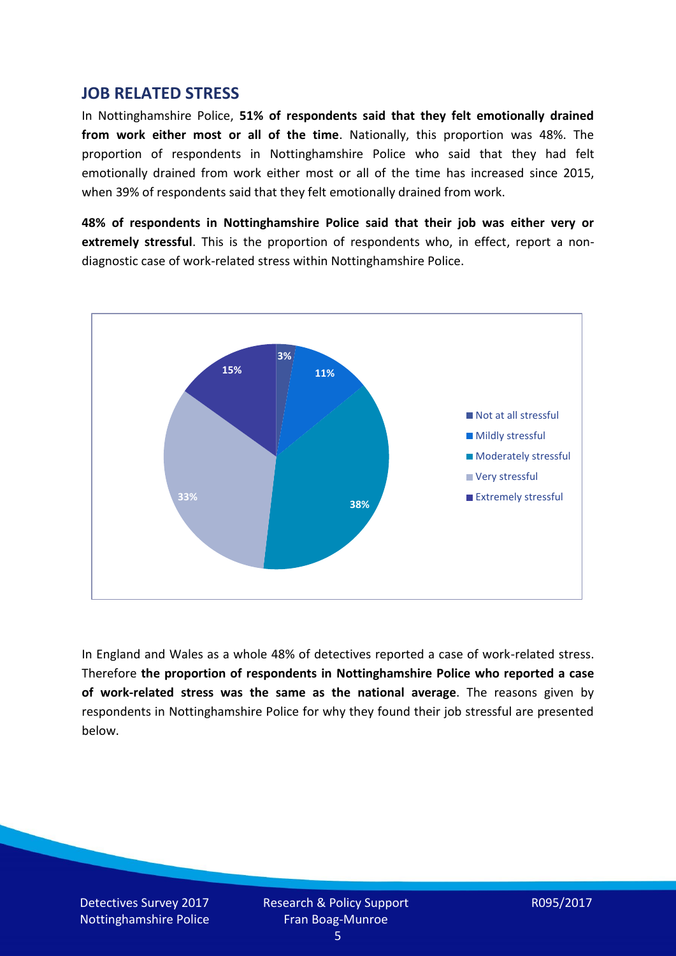#### **JOB RELATED STRESS**

In Nottinghamshire Police, **51% of respondents said that they felt emotionally drained from work either most or all of the time**. Nationally, this proportion was 48%. The proportion of respondents in Nottinghamshire Police who said that they had felt emotionally drained from work either most or all of the time has increased since 2015, when 39% of respondents said that they felt emotionally drained from work.

**48% of respondents in Nottinghamshire Police said that their job was either very or extremely stressful**. This is the proportion of respondents who, in effect, report a nondiagnostic case of work-related stress within Nottinghamshire Police.



In England and Wales as a whole 48% of detectives reported a case of work-related stress. Therefore **the proportion of respondents in Nottinghamshire Police who reported a case of work-related stress was the same as the national average**. The reasons given by respondents in Nottinghamshire Police for why they found their job stressful are presented below.

Detectives Survey 2017 Nottinghamshire Police Research & Policy Support Fran Boag-Munroe

R095/2017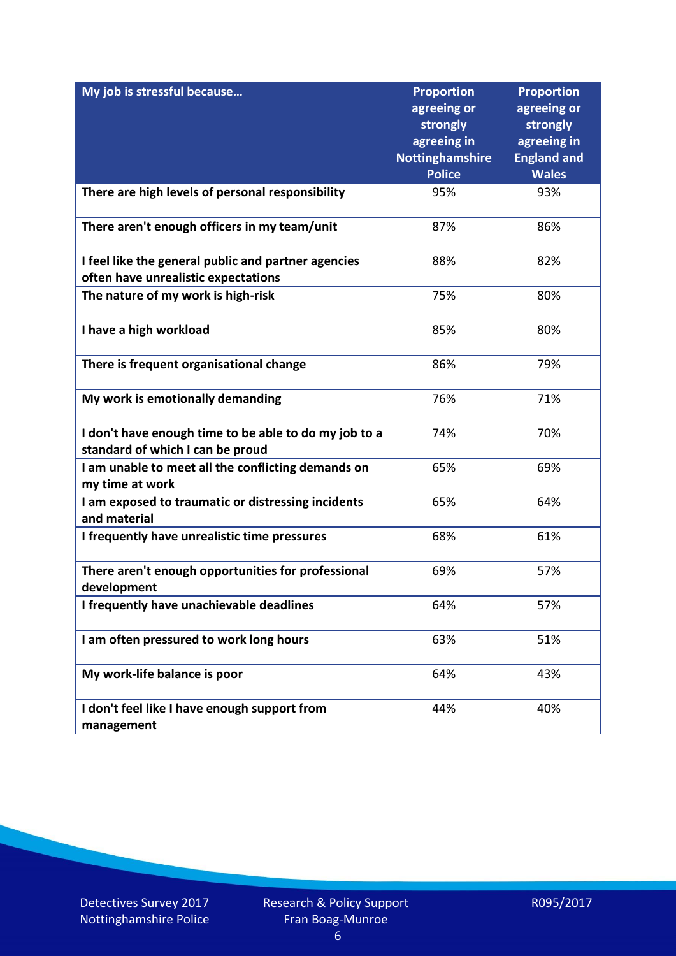| My job is stressful because                                           | <b>Proportion</b>       | <b>Proportion</b>       |
|-----------------------------------------------------------------------|-------------------------|-------------------------|
|                                                                       | agreeing or             | agreeing or             |
|                                                                       | strongly<br>agreeing in | strongly<br>agreeing in |
|                                                                       | <b>Nottinghamshire</b>  | <b>England and</b>      |
|                                                                       | <b>Police</b>           | <b>Wales</b>            |
| There are high levels of personal responsibility                      | 95%                     | 93%                     |
| There aren't enough officers in my team/unit                          | 87%                     | 86%                     |
| I feel like the general public and partner agencies                   | 88%                     | 82%                     |
| often have unrealistic expectations                                   |                         |                         |
| The nature of my work is high-risk                                    | 75%                     | 80%                     |
| I have a high workload                                                | 85%                     | 80%                     |
| There is frequent organisational change                               | 86%                     | 79%                     |
| My work is emotionally demanding                                      | 76%                     | 71%                     |
| I don't have enough time to be able to do my job to a                 | 74%                     | 70%                     |
| standard of which I can be proud                                      |                         |                         |
| I am unable to meet all the conflicting demands on<br>my time at work | 65%                     | 69%                     |
| I am exposed to traumatic or distressing incidents<br>and material    | 65%                     | 64%                     |
| I frequently have unrealistic time pressures                          | 68%                     | 61%                     |
| There aren't enough opportunities for professional<br>development     | 69%                     | 57%                     |
| I frequently have unachievable deadlines                              | 64%                     | 57%                     |
| I am often pressured to work long hours                               | 63%                     | 51%                     |
| My work-life balance is poor                                          | 64%                     | 43%                     |
| I don't feel like I have enough support from<br>management            | 44%                     | 40%                     |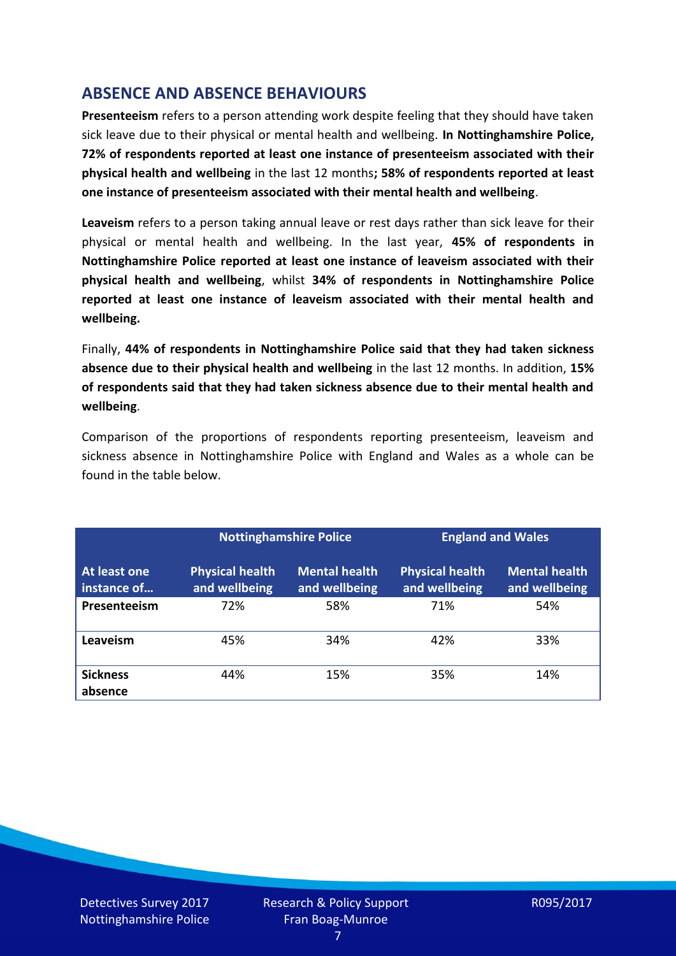## **ABSENCE AND ABSENCE BEHAVIOURS**

**Presenteeism** refers to a person attending work despite feeling that they should have taken sick leave due to their physical or mental health and wellbeing. **In Nottinghamshire Police, 72% of respondents reported at least one instance of presenteeism associated with their physical health and wellbeing** in the last 12 months**; 58% of respondents reported at least one instance of presenteeism associated with their mental health and wellbeing**.

**Leaveism** refers to a person taking annual leave or rest days rather than sick leave for their physical or mental health and wellbeing. In the last year, **45% of respondents in Nottinghamshire Police reported at least one instance of leaveism associated with their physical health and wellbeing**, whilst **34% of respondents in Nottinghamshire Police reported at least one instance of leaveism associated with their mental health and wellbeing.**

Finally, **44% of respondents in Nottinghamshire Police said that they had taken sickness absence due to their physical health and wellbeing** in the last 12 months. In addition, **15% of respondents said that they had taken sickness absence due to their mental health and wellbeing**.

Comparison of the proportions of respondents reporting presenteeism, leaveism and sickness absence in Nottinghamshire Police with England and Wales as a whole can be found in the table below.

|                             |                                         | <b>Nottinghamshire Police</b>         |                                         | <b>England and Wales</b>              |
|-----------------------------|-----------------------------------------|---------------------------------------|-----------------------------------------|---------------------------------------|
| At least one<br>instance of | <b>Physical health</b><br>and wellbeing | <b>Mental health</b><br>and wellbeing | <b>Physical health</b><br>and wellbeing | <b>Mental health</b><br>and wellbeing |
| Presenteeism                | 72%                                     | 58%                                   | 71%                                     | 54%                                   |
| Leaveism                    | 45%                                     | 34%                                   | 42%                                     | 33%                                   |
| <b>Sickness</b><br>absence  | 44%                                     | 15%                                   | 35%                                     | 14%                                   |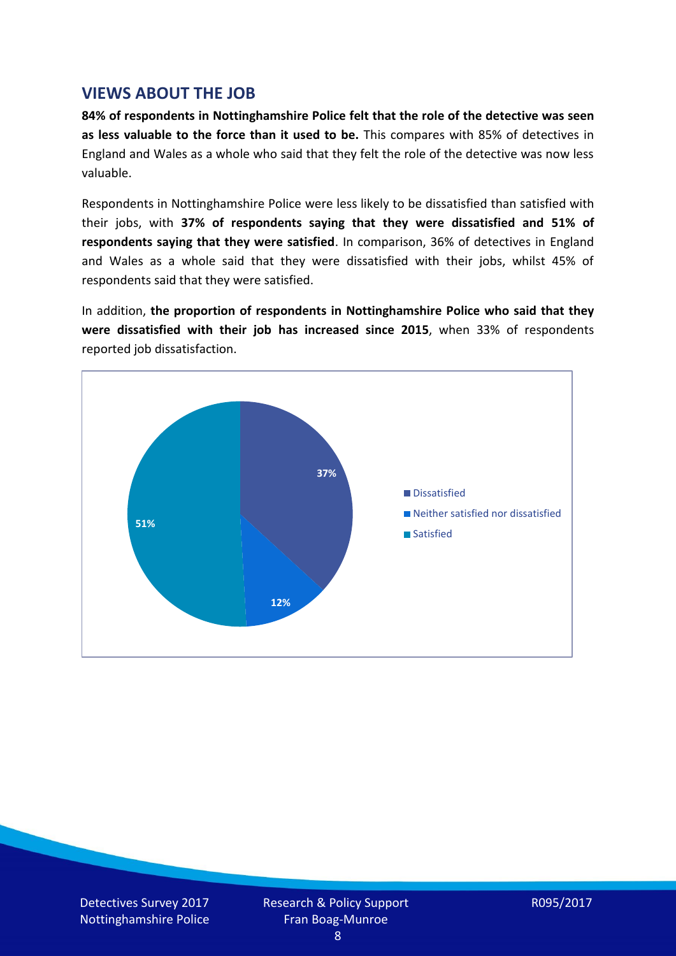## **VIEWS ABOUT THE JOB**

**84% of respondents in Nottinghamshire Police felt that the role of the detective was seen as less valuable to the force than it used to be.** This compares with 85% of detectives in England and Wales as a whole who said that they felt the role of the detective was now less valuable.

Respondents in Nottinghamshire Police were less likely to be dissatisfied than satisfied with their jobs, with **37% of respondents saying that they were dissatisfied and 51% of respondents saying that they were satisfied**. In comparison, 36% of detectives in England and Wales as a whole said that they were dissatisfied with their jobs, whilst 45% of respondents said that they were satisfied.

In addition, **the proportion of respondents in Nottinghamshire Police who said that they were dissatisfied with their job has increased since 2015**, when 33% of respondents reported job dissatisfaction.



Detectives Survey 2017 Nottinghamshire Police Research & Policy Support Fran Boag-Munroe

R095/2017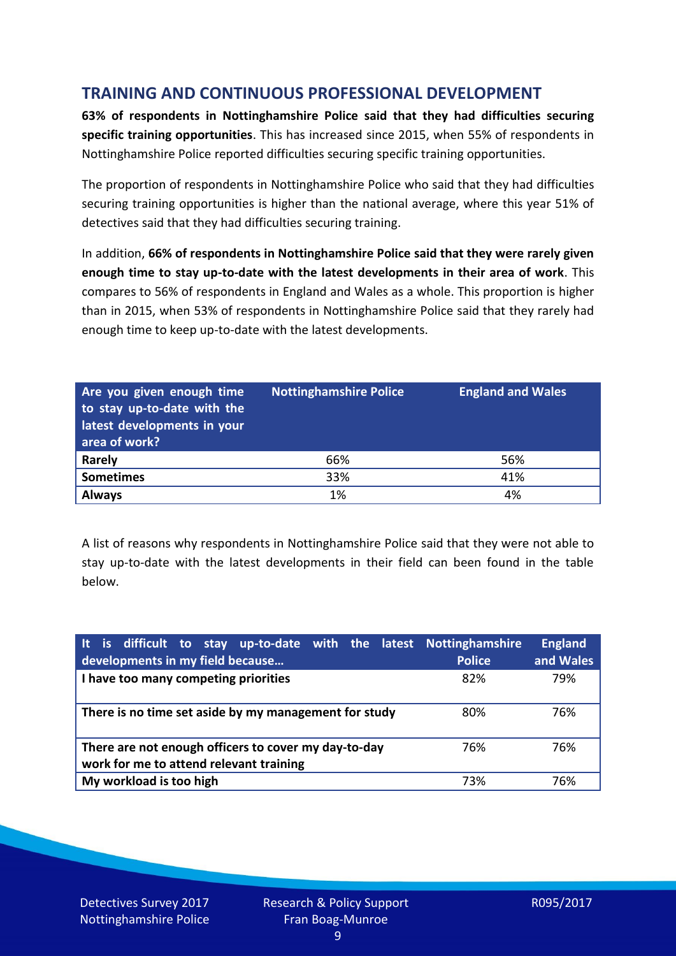# **TRAINING AND CONTINUOUS PROFESSIONAL DEVELOPMENT**

**63% of respondents in Nottinghamshire Police said that they had difficulties securing specific training opportunities**. This has increased since 2015, when 55% of respondents in Nottinghamshire Police reported difficulties securing specific training opportunities.

The proportion of respondents in Nottinghamshire Police who said that they had difficulties securing training opportunities is higher than the national average, where this year 51% of detectives said that they had difficulties securing training.

In addition, **66% of respondents in Nottinghamshire Police said that they were rarely given enough time to stay up-to-date with the latest developments in their area of work**. This compares to 56% of respondents in England and Wales as a whole. This proportion is higher than in 2015, when 53% of respondents in Nottinghamshire Police said that they rarely had enough time to keep up-to-date with the latest developments.

| Are you given enough time<br>to stay up-to-date with the<br>latest developments in your<br>area of work? | <b>Nottinghamshire Police</b> | <b>England and Wales</b> |
|----------------------------------------------------------------------------------------------------------|-------------------------------|--------------------------|
| <b>Rarely</b>                                                                                            | 66%                           | 56%                      |
| <b>Sometimes</b>                                                                                         | 33%                           | 41%                      |
| <b>Always</b>                                                                                            | 1%                            | 4%                       |

A list of reasons why respondents in Nottinghamshire Police said that they were not able to stay up-to-date with the latest developments in their field can been found in the table below.

| It is difficult to stay up-to-date with the latest Nottinghamshire<br>developments in my field because | <b>Police</b> | <b>England</b><br>and Wales |
|--------------------------------------------------------------------------------------------------------|---------------|-----------------------------|
| I have too many competing priorities                                                                   | 82%           | 79%                         |
| There is no time set aside by my management for study                                                  | 80%           | 76%                         |
| There are not enough officers to cover my day-to-day<br>work for me to attend relevant training        | 76%           | 76%                         |
| My workload is too high                                                                                | 73%           | 76%                         |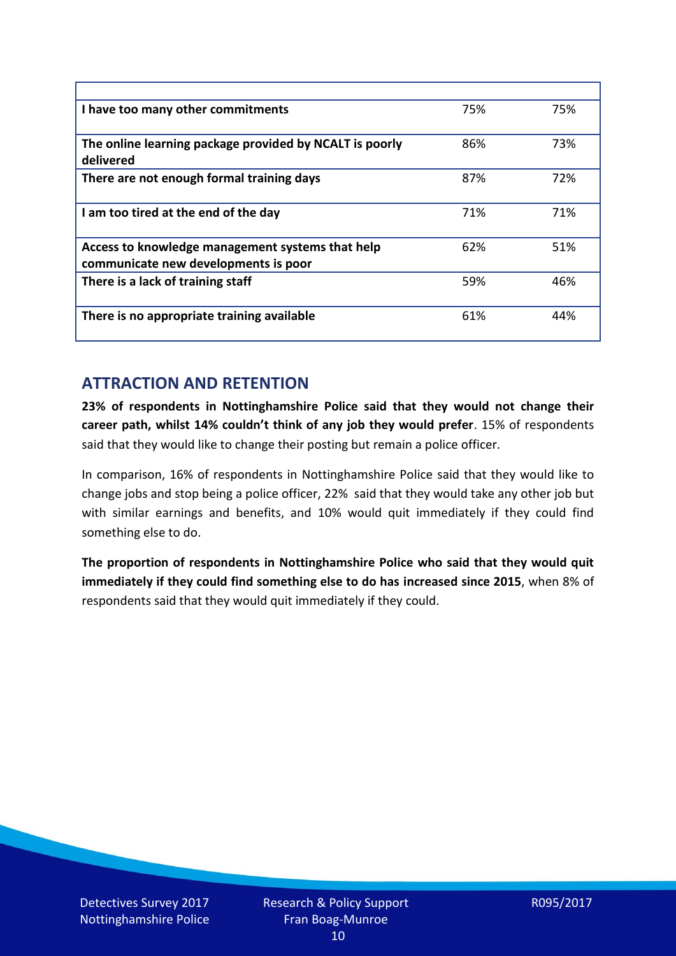| I have too many other commitments                                                        | 75% | 75% |
|------------------------------------------------------------------------------------------|-----|-----|
| The online learning package provided by NCALT is poorly<br>delivered                     | 86% | 73% |
| There are not enough formal training days                                                | 87% | 72% |
| I am too tired at the end of the day                                                     | 71% | 71% |
| Access to knowledge management systems that help<br>communicate new developments is poor | 62% | 51% |
| There is a lack of training staff                                                        | 59% | 46% |
| There is no appropriate training available                                               | 61% | 44% |

## **ATTRACTION AND RETENTION**

**23% of respondents in Nottinghamshire Police said that they would not change their career path, whilst 14% couldn't think of any job they would prefer**. 15% of respondents said that they would like to change their posting but remain a police officer.

In comparison, 16% of respondents in Nottinghamshire Police said that they would like to change jobs and stop being a police officer, 22% said that they would take any other job but with similar earnings and benefits, and 10% would quit immediately if they could find something else to do.

**The proportion of respondents in Nottinghamshire Police who said that they would quit immediately if they could find something else to do has increased since 2015**, when 8% of respondents said that they would quit immediately if they could.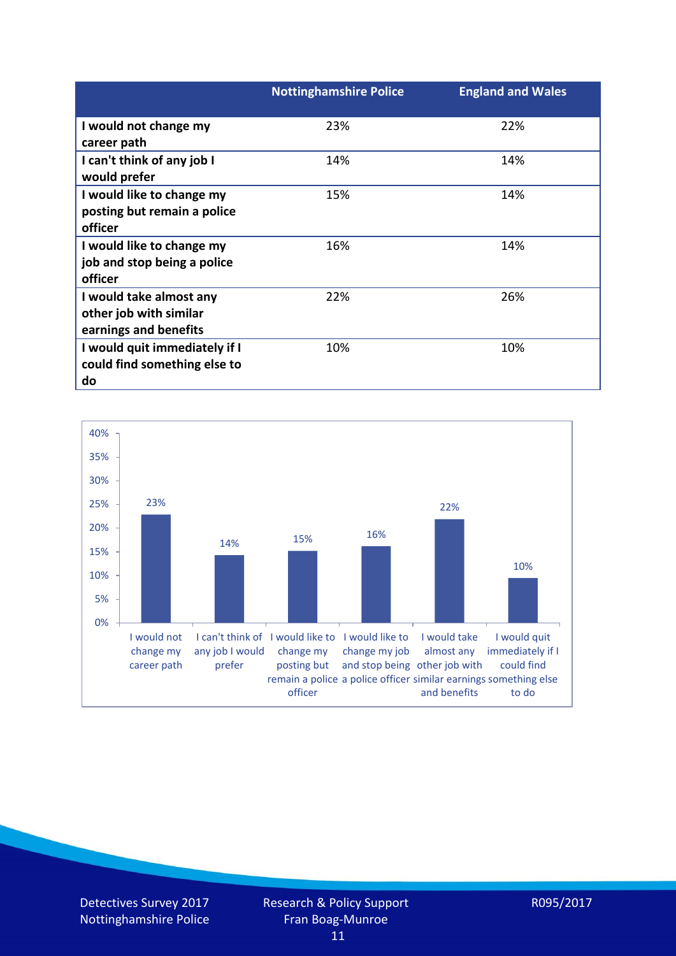|                               | <b>Nottinghamshire Police</b> | <b>England and Wales</b> |
|-------------------------------|-------------------------------|--------------------------|
| I would not change my         | 23%                           | 22%                      |
| career path                   |                               |                          |
| I can't think of any job I    | 14%                           | 14%                      |
| would prefer                  |                               |                          |
| I would like to change my     | 15%                           | 14%                      |
| posting but remain a police   |                               |                          |
| officer                       |                               |                          |
| I would like to change my     | 16%                           | 14%                      |
| job and stop being a police   |                               |                          |
| officer                       |                               |                          |
| I would take almost any       | 22%                           | 26%                      |
| other job with similar        |                               |                          |
| earnings and benefits         |                               |                          |
| I would quit immediately if I | 10%                           | 10%                      |
| could find something else to  |                               |                          |
| do                            |                               |                          |